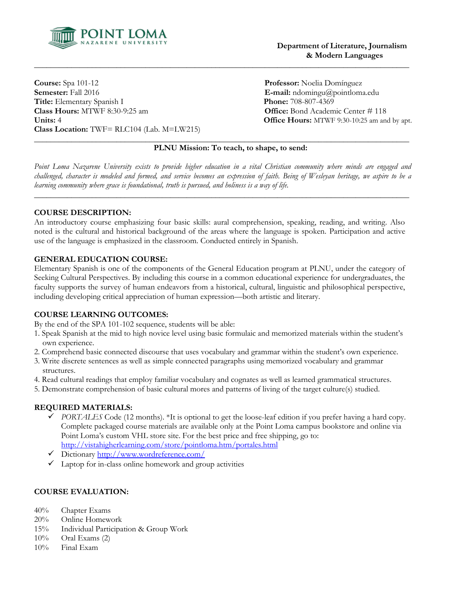

 **Department of Literature, Journalism & Modern Languages**

**Course:** Spa 101-12 **Professor:** Noelia Domínguez **Semester:** Fall 2016 **E-mail:** ndomingu@pointloma.edu **Title:** Elementary Spanish I **Phone:** 708-807-4369 **Class Hours:** MTWF 8:30-9:25 am **Office:** Bond Academic Center # 118 **Units:** 4 **Office Hours:** MTWF 9:30-10:25 am and by apt. **Class Location:** TWF= RLC104 (Lab. M=LW215) \_\_\_\_\_\_\_\_\_\_\_\_\_\_\_\_\_\_\_\_\_\_\_\_\_\_\_\_\_\_\_\_\_\_\_\_\_\_\_\_\_\_\_\_\_\_\_\_\_\_\_\_\_\_\_\_\_\_\_\_\_\_\_\_\_\_\_\_\_\_\_\_\_\_\_\_\_\_\_\_\_\_\_\_\_\_\_\_\_\_\_

# **PLNU Mission: To teach, to shape, to send:**

*Point Loma Nazarene University exists to provide higher education in a vital Christian community where minds are engaged and challenged, character is modeled and formed, and service becomes an expression of faith. Being of Wesleyan heritage, we aspire to be a learning community where grace is foundational, truth is pursued, and holiness is a way of life.*

\_\_\_\_\_\_\_\_\_\_\_\_\_\_\_\_\_\_\_\_\_\_\_\_\_\_\_\_\_\_\_\_\_\_\_\_\_\_\_\_\_\_\_\_\_\_\_\_\_\_\_\_\_\_\_\_\_\_\_\_\_\_\_\_\_\_\_\_\_\_\_\_\_\_\_\_\_\_\_\_\_\_\_\_\_\_\_\_\_\_\_

\_\_\_\_\_\_\_\_\_\_\_\_\_\_\_\_\_\_\_\_\_\_\_\_\_\_\_\_\_\_\_\_\_\_\_\_\_\_\_\_\_\_\_\_\_\_\_\_\_\_\_\_\_\_\_\_\_\_\_\_\_\_\_\_\_\_\_\_\_\_\_\_\_\_\_\_\_\_\_\_\_\_\_\_\_\_\_\_\_\_\_

### **COURSE DESCRIPTION:**

An introductory course emphasizing four basic skills: aural comprehension, speaking, reading, and writing. Also noted is the cultural and historical background of the areas where the language is spoken. Participation and active use of the language is emphasized in the classroom. Conducted entirely in Spanish.

# **GENERAL EDUCATION COURSE:**

Elementary Spanish is one of the components of the General Education program at PLNU, under the category of Seeking Cultural Perspectives. By including this course in a common educational experience for undergraduates, the faculty supports the survey of human endeavors from a historical, cultural, linguistic and philosophical perspective, including developing critical appreciation of human expression—both artistic and literary.

### **COURSE LEARNING OUTCOMES:**

By the end of the SPA 101-102 sequence, students will be able:

- 1. Speak Spanish at the mid to high novice level using basic formulaic and memorized materials within the student's own experience.
- 2. Comprehend basic connected discourse that uses vocabulary and grammar within the student's own experience.
- 3. Write discrete sentences as well as simple connected paragraphs using memorized vocabulary and grammar structures.
- 4. Read cultural readings that employ familiar vocabulary and cognates as well as learned grammatical structures.
- 5. Demonstrate comprehension of basic cultural mores and patterns of living of the target culture(s) studied.

### **REQUIRED MATERIALS:**

- *PORTALES* Code (12 months). \*It is optional to get the loose-leaf edition if you prefer having a hard copy. Complete packaged course materials are available only at the Point Loma campus bookstore and online via Point Loma's custom VHL store site. For the best price and free shipping, go to: <http://vistahigherlearning.com/store/pointloma.htm/portales.html>
- Dictionary<http://www.wordreference.com/>
- $\checkmark$  Laptop for in-class online homework and group activities

### **COURSE EVALUATION:**

- 40% Chapter Exams
- 20% Online Homework
- 15% Individual Participation & Group Work
- $10\%$  Oral Exams  $(2)$
- 10% Final Exam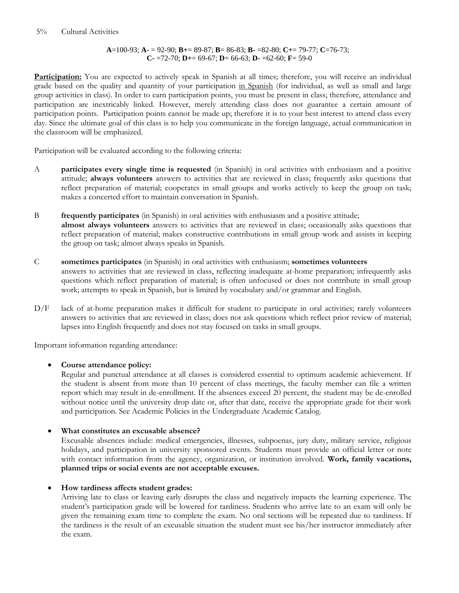## **A**=100-93; **A-** = 92-90; **B+**= 89-87; **B**= 86-83; **B-** =82-80; **C+**= 79-77; **C**=76-73; **C-** =72-70; **D+**= 69-67; **D**= 66-63; **D-** =62-60; **F**= 59-0

**Participation:** You are expected to actively speak in Spanish at all times; therefore, you will receive an individual grade based on the quality and quantity of your participation in Spanish (for individual, as well as small and large group activities in class). In order to earn participation points, you must be present in class; therefore, attendance and participation are inextricably linked. However, merely attending class does not guarantee a certain amount of participation points. Participation points cannot be made up; therefore it is to your best interest to attend class every day. Since the ultimate goal of this class is to help you communicate in the foreign language, actual communication in the classroom will be emphasized.

Participation will be evaluated according to the following criteria:

- A **participates every single time is requested** (in Spanish) in oral activities with enthusiasm and a positive attitude; **always volunteers** answers to activities that are reviewed in class; frequently asks questions that reflect preparation of material; cooperates in small groups and works actively to keep the group on task; makes a concerted effort to maintain conversation in Spanish.
- B **frequently participates** (in Spanish) in oral activities with enthusiasm and a positive attitude; **almost always volunteers** answers to activities that are reviewed in class; occasionally asks questions that reflect preparation of material; makes constructive contributions in small group work and assists in keeping the group on task; almost always speaks in Spanish.
- C **sometimes participates** (in Spanish) in oral activities with enthusiasm; **sometimes volunteers** answers to activities that are reviewed in class, reflecting inadequate at-home preparation; infrequently asks questions which reflect preparation of material; is often unfocused or does not contribute in small group work; attempts to speak in Spanish, but is limited by vocabulary and/or grammar and English.
- D/F lack of at-home preparation makes it difficult for student to participate in oral activities; rarely volunteers answers to activities that are reviewed in class; does not ask questions which reflect prior review of material; lapses into English frequently and does not stay focused on tasks in small groups.

Important information regarding attendance:

# **Course attendance policy:**

Regular and punctual attendance at all classes is considered essential to optimum academic achievement. If the student is absent from more than 10 percent of class meetings, the faculty member can file a written report which may result in de-enrollment. If the absences exceed 20 percent, the student may be de-enrolled without notice until the university drop date or, after that date, receive the appropriate grade for their work and participation. See Academic Policies in the Undergraduate Academic Catalog.

# **What constitutes an excusable absence?**

Excusable absences include: medical emergencies, illnesses, subpoenas, jury duty, military service, religious holidays, and participation in university sponsored events. Students must provide an official letter or note with contact information from the agency, organization, or institution involved. **Work, family vacations, planned trips or social events are not acceptable excuses.**

# **How tardiness affects student grades:**

Arriving late to class or leaving early disrupts the class and negatively impacts the learning experience. The student's participation grade will be lowered for tardiness. Students who arrive late to an exam will only be given the remaining exam time to complete the exam. No oral sections will be repeated due to tardiness. If the tardiness is the result of an excusable situation the student must see his/her instructor immediately after the exam.